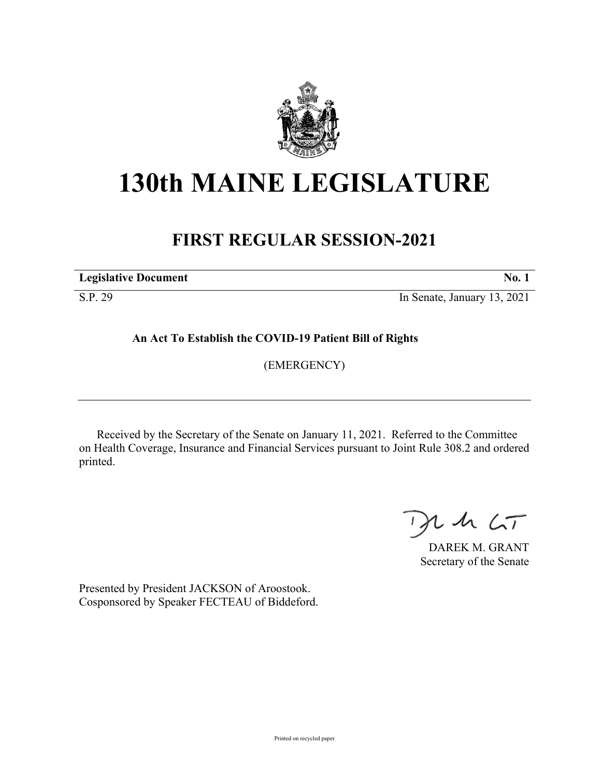

## **130th MAINE LEGISLATURE**

## **FIRST REGULAR SESSION-2021**

**Legislative Document No. 1**

S.P. 29 In Senate, January 13, 2021

**An Act To Establish the COVID-19 Patient Bill of Rights**

(EMERGENCY)

Received by the Secretary of the Senate on January 11, 2021. Referred to the Committee on Health Coverage, Insurance and Financial Services pursuant to Joint Rule 308.2 and ordered printed.

 $125$ 

DAREK M. GRANT Secretary of the Senate

Presented by President JACKSON of Aroostook. Cosponsored by Speaker FECTEAU of Biddeford.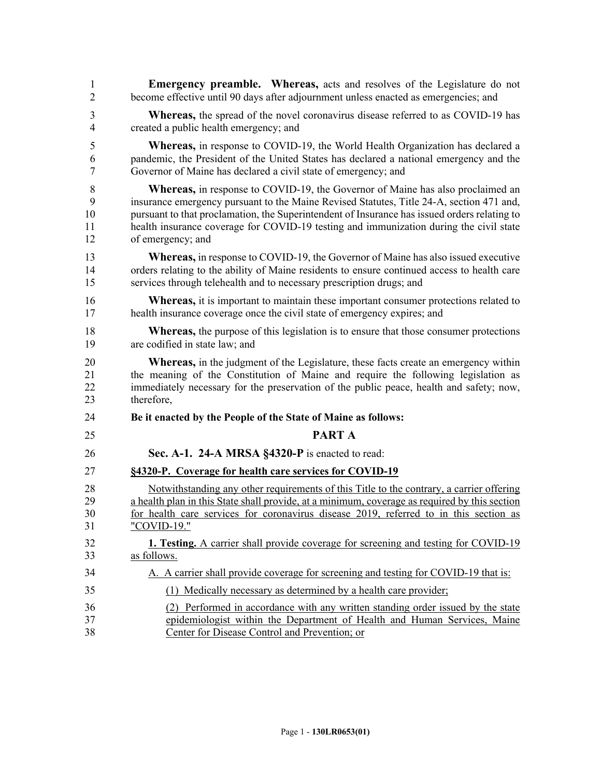| $\mathbf{1}$   | <b>Emergency preamble.</b> Whereas, acts and resolves of the Legislature do not               |
|----------------|-----------------------------------------------------------------------------------------------|
| $\overline{2}$ | become effective until 90 days after adjournment unless enacted as emergencies; and           |
| 3              | Whereas, the spread of the novel coronavirus disease referred to as COVID-19 has              |
| $\overline{4}$ | created a public health emergency; and                                                        |
| 5              | <b>Whereas,</b> in response to COVID-19, the World Health Organization has declared a         |
| 6              | pandemic, the President of the United States has declared a national emergency and the        |
| $\tau$         | Governor of Maine has declared a civil state of emergency; and                                |
| $8\,$          | <b>Whereas,</b> in response to COVID-19, the Governor of Maine has also proclaimed an         |
| 9              | insurance emergency pursuant to the Maine Revised Statutes, Title 24-A, section 471 and,      |
| 10             | pursuant to that proclamation, the Superintendent of Insurance has issued orders relating to  |
| 11             | health insurance coverage for COVID-19 testing and immunization during the civil state        |
| 12             | of emergency; and                                                                             |
| 13             | <b>Whereas,</b> in response to COVID-19, the Governor of Maine has also issued executive      |
| 14             | orders relating to the ability of Maine residents to ensure continued access to health care   |
| 15             | services through telehealth and to necessary prescription drugs; and                          |
| 16             | <b>Whereas,</b> it is important to maintain these important consumer protections related to   |
| 17             | health insurance coverage once the civil state of emergency expires; and                      |
| 18             | <b>Whereas,</b> the purpose of this legislation is to ensure that those consumer protections  |
| 19             | are codified in state law; and                                                                |
| 20             | <b>Whereas,</b> in the judgment of the Legislature, these facts create an emergency within    |
| 21             | the meaning of the Constitution of Maine and require the following legislation as             |
| 22             | immediately necessary for the preservation of the public peace, health and safety; now,       |
| 23             | therefore,                                                                                    |
| 24             | Be it enacted by the People of the State of Maine as follows:                                 |
| 25             | <b>PART A</b>                                                                                 |
| 26             | Sec. A-1. 24-A MRSA §4320-P is enacted to read:                                               |
| 27             | §4320-P. Coverage for health care services for COVID-19                                       |
| 28             | Notwithstanding any other requirements of this Title to the contrary, a carrier offering      |
| 29             | a health plan in this State shall provide, at a minimum, coverage as required by this section |
| 30             | for health care services for coronavirus disease 2019, referred to in this section as         |
| 31             | "COVID-19."                                                                                   |
| 32             | 1. Testing. A carrier shall provide coverage for screening and testing for COVID-19           |
| 33             | as follows.                                                                                   |
| 34             | A. A carrier shall provide coverage for screening and testing for COVID-19 that is:           |
| 35             | (1) Medically necessary as determined by a health care provider;                              |
| 36             | (2) Performed in accordance with any written standing order issued by the state               |
| 37             | epidemiologist within the Department of Health and Human Services, Maine                      |
| 38             | Center for Disease Control and Prevention; or                                                 |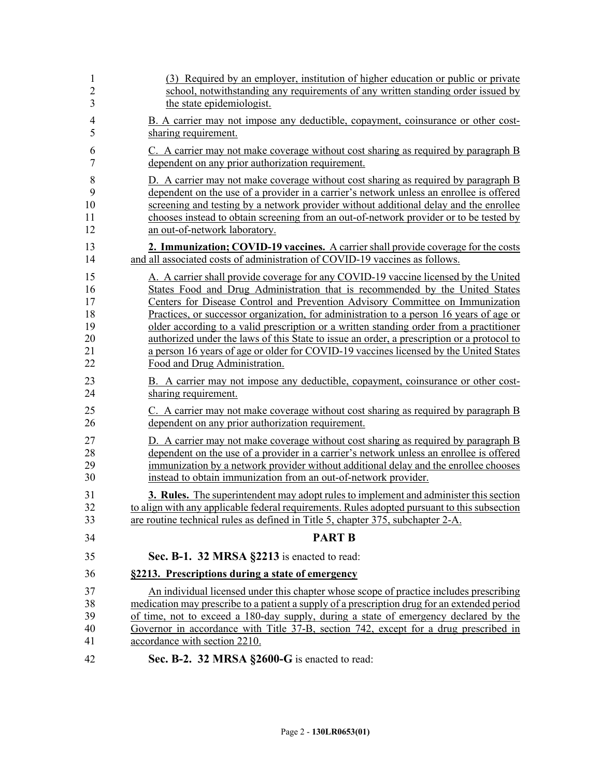| 1              | (3) Required by an employer, institution of higher education or public or private            |
|----------------|----------------------------------------------------------------------------------------------|
| $\overline{2}$ | school, notwithstanding any requirements of any written standing order issued by             |
| 3              | the state epidemiologist.                                                                    |
| $\overline{4}$ | B. A carrier may not impose any deductible, copayment, coinsurance or other cost-            |
| 5              | sharing requirement.                                                                         |
| 6              | C. A carrier may not make coverage without cost sharing as required by paragraph B           |
| 7              | dependent on any prior authorization requirement.                                            |
| 8              | D. A carrier may not make coverage without cost sharing as required by paragraph B           |
| 9              | dependent on the use of a provider in a carrier's network unless an enrollee is offered      |
| 10             | screening and testing by a network provider without additional delay and the enrollee        |
| 11             | chooses instead to obtain screening from an out-of-network provider or to be tested by       |
| 12             | an out-of-network laboratory.                                                                |
| 13             | 2. Immunization; COVID-19 vaccines. A carrier shall provide coverage for the costs           |
| 14             | and all associated costs of administration of COVID-19 vaccines as follows.                  |
| 15             | A. A carrier shall provide coverage for any COVID-19 vaccine licensed by the United          |
| 16             | States Food and Drug Administration that is recommended by the United States                 |
| 17             | Centers for Disease Control and Prevention Advisory Committee on Immunization                |
| 18             | Practices, or successor organization, for administration to a person 16 years of age or      |
| 19             | older according to a valid prescription or a written standing order from a practitioner      |
| 20             | authorized under the laws of this State to issue an order, a prescription or a protocol to   |
| 21             | a person 16 years of age or older for COVID-19 vaccines licensed by the United States        |
| 22             | Food and Drug Administration.                                                                |
| 23             | B. A carrier may not impose any deductible, copayment, coinsurance or other cost-            |
| 24             | sharing requirement.                                                                         |
| 25             | C. A carrier may not make coverage without cost sharing as required by paragraph B           |
| 26             | dependent on any prior authorization requirement.                                            |
| 27             | D. A carrier may not make coverage without cost sharing as required by paragraph B           |
| 28             | dependent on the use of a provider in a carrier's network unless an enrollee is offered      |
| 29             | immunization by a network provider without additional delay and the enrollee chooses         |
| 30             | instead to obtain immunization from an out-of-network provider.                              |
| 31             | <b>3. Rules.</b> The superintendent may adopt rules to implement and administer this section |
| 32             | to align with any applicable federal requirements. Rules adopted pursuant to this subsection |
| 33             | are routine technical rules as defined in Title 5, chapter 375, subchapter 2-A.              |
| 34             | <b>PART B</b>                                                                                |
| 35             | Sec. B-1. 32 MRSA §2213 is enacted to read:                                                  |
| 36             | §2213. Prescriptions during a state of emergency                                             |
| 37             | An individual licensed under this chapter whose scope of practice includes prescribing       |
| 38             | medication may prescribe to a patient a supply of a prescription drug for an extended period |
| 39             | of time, not to exceed a 180-day supply, during a state of emergency declared by the         |
| 40             | Governor in accordance with Title 37-B, section 742, except for a drug prescribed in         |
| 41             | accordance with section 2210.                                                                |
| 42             | Sec. B-2. 32 MRSA §2600-G is enacted to read:                                                |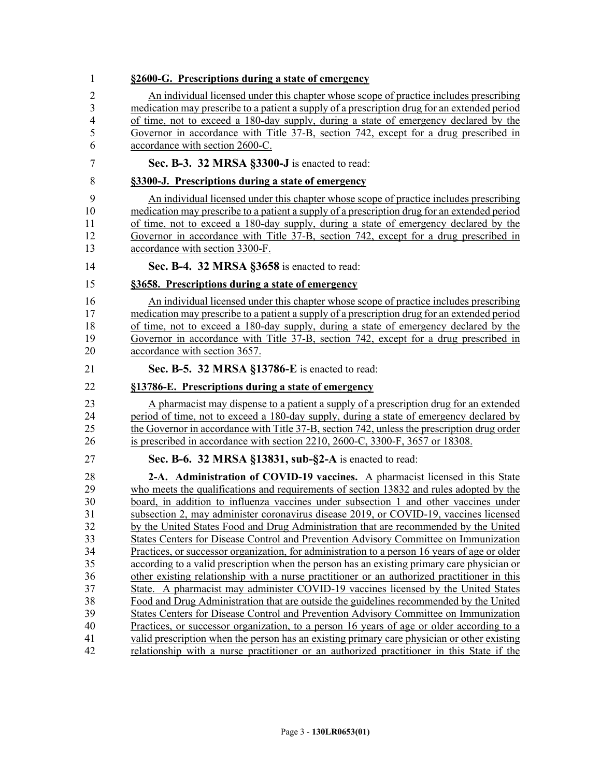| 1                                                                          | §2600-G. Prescriptions during a state of emergency                                                                                                                                                                                                                                                                                                                                                                                                                                                                                                                                                                                                                                                                                                                                                                                                                                                                                                                                                                                                                                                                                                                                                            |
|----------------------------------------------------------------------------|---------------------------------------------------------------------------------------------------------------------------------------------------------------------------------------------------------------------------------------------------------------------------------------------------------------------------------------------------------------------------------------------------------------------------------------------------------------------------------------------------------------------------------------------------------------------------------------------------------------------------------------------------------------------------------------------------------------------------------------------------------------------------------------------------------------------------------------------------------------------------------------------------------------------------------------------------------------------------------------------------------------------------------------------------------------------------------------------------------------------------------------------------------------------------------------------------------------|
| 2<br>3<br>4<br>5<br>6                                                      | An individual licensed under this chapter whose scope of practice includes prescribing<br>medication may prescribe to a patient a supply of a prescription drug for an extended period<br>of time, not to exceed a 180-day supply, during a state of emergency declared by the<br>Governor in accordance with Title 37-B, section 742, except for a drug prescribed in<br>accordance with section 2600-C.                                                                                                                                                                                                                                                                                                                                                                                                                                                                                                                                                                                                                                                                                                                                                                                                     |
| 7                                                                          | Sec. B-3. 32 MRSA §3300-J is enacted to read:                                                                                                                                                                                                                                                                                                                                                                                                                                                                                                                                                                                                                                                                                                                                                                                                                                                                                                                                                                                                                                                                                                                                                                 |
| 8                                                                          | §3300-J. Prescriptions during a state of emergency                                                                                                                                                                                                                                                                                                                                                                                                                                                                                                                                                                                                                                                                                                                                                                                                                                                                                                                                                                                                                                                                                                                                                            |
| 9<br>10<br>11<br>12<br>13                                                  | An individual licensed under this chapter whose scope of practice includes prescribing<br>medication may prescribe to a patient a supply of a prescription drug for an extended period<br>of time, not to exceed a 180-day supply, during a state of emergency declared by the<br>Governor in accordance with Title 37-B, section 742, except for a drug prescribed in<br>accordance with section 3300-F.                                                                                                                                                                                                                                                                                                                                                                                                                                                                                                                                                                                                                                                                                                                                                                                                     |
| 14                                                                         | Sec. B-4. 32 MRSA §3658 is enacted to read:                                                                                                                                                                                                                                                                                                                                                                                                                                                                                                                                                                                                                                                                                                                                                                                                                                                                                                                                                                                                                                                                                                                                                                   |
| 15                                                                         | §3658. Prescriptions during a state of emergency                                                                                                                                                                                                                                                                                                                                                                                                                                                                                                                                                                                                                                                                                                                                                                                                                                                                                                                                                                                                                                                                                                                                                              |
| 16<br>17<br>18<br>19<br>20                                                 | An individual licensed under this chapter whose scope of practice includes prescribing<br>medication may prescribe to a patient a supply of a prescription drug for an extended period<br>of time, not to exceed a 180-day supply, during a state of emergency declared by the<br>Governor in accordance with Title 37-B, section 742, except for a drug prescribed in<br>accordance with section 3657.                                                                                                                                                                                                                                                                                                                                                                                                                                                                                                                                                                                                                                                                                                                                                                                                       |
| 21                                                                         | Sec. B-5. 32 MRSA §13786-E is enacted to read:                                                                                                                                                                                                                                                                                                                                                                                                                                                                                                                                                                                                                                                                                                                                                                                                                                                                                                                                                                                                                                                                                                                                                                |
| 22                                                                         | §13786-E. Prescriptions during a state of emergency                                                                                                                                                                                                                                                                                                                                                                                                                                                                                                                                                                                                                                                                                                                                                                                                                                                                                                                                                                                                                                                                                                                                                           |
| 23<br>24<br>25<br>26                                                       | A pharmacist may dispense to a patient a supply of a prescription drug for an extended<br>period of time, not to exceed a 180-day supply, during a state of emergency declared by<br>the Governor in accordance with Title 37-B, section 742, unless the prescription drug order<br>is prescribed in accordance with section 2210, 2600-C, 3300-F, 3657 or 18308.                                                                                                                                                                                                                                                                                                                                                                                                                                                                                                                                                                                                                                                                                                                                                                                                                                             |
| 27                                                                         | Sec. B-6. 32 MRSA §13831, sub-§2-A is enacted to read:                                                                                                                                                                                                                                                                                                                                                                                                                                                                                                                                                                                                                                                                                                                                                                                                                                                                                                                                                                                                                                                                                                                                                        |
| 28<br>29<br>30<br>31<br>32<br>33<br>34<br>35<br>36<br>37<br>38<br>39<br>40 | 2-A. Administration of COVID-19 vaccines. A pharmacist licensed in this State<br>who meets the qualifications and requirements of section 13832 and rules adopted by the<br>board, in addition to influenza vaccines under subsection 1 and other vaccines under<br>subsection 2, may administer coronavirus disease 2019, or COVID-19, vaccines licensed<br>by the United States Food and Drug Administration that are recommended by the United<br>States Centers for Disease Control and Prevention Advisory Committee on Immunization<br>Practices, or successor organization, for administration to a person 16 years of age or older<br>according to a valid prescription when the person has an existing primary care physician or<br>other existing relationship with a nurse practitioner or an authorized practitioner in this<br>State. A pharmacist may administer COVID-19 vaccines licensed by the United States<br>Food and Drug Administration that are outside the guidelines recommended by the United<br>States Centers for Disease Control and Prevention Advisory Committee on Immunization<br>Practices, or successor organization, to a person 16 years of age or older according to a |
| 41<br>42                                                                   | valid prescription when the person has an existing primary care physician or other existing                                                                                                                                                                                                                                                                                                                                                                                                                                                                                                                                                                                                                                                                                                                                                                                                                                                                                                                                                                                                                                                                                                                   |
|                                                                            | relationship with a nurse practitioner or an authorized practitioner in this State if the                                                                                                                                                                                                                                                                                                                                                                                                                                                                                                                                                                                                                                                                                                                                                                                                                                                                                                                                                                                                                                                                                                                     |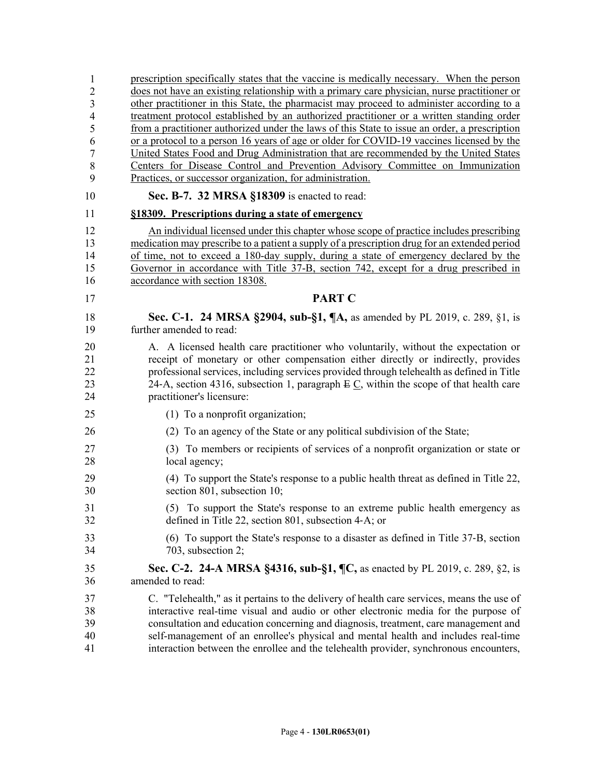| 1              | prescription specifically states that the vaccine is medically necessary. When the person            |
|----------------|------------------------------------------------------------------------------------------------------|
| $\overline{2}$ | does not have an existing relationship with a primary care physician, nurse practitioner or          |
| 3              | other practitioner in this State, the pharmacist may proceed to administer according to a            |
| $\overline{4}$ | treatment protocol established by an authorized practitioner or a written standing order             |
| 5              | from a practitioner authorized under the laws of this State to issue an order, a prescription        |
| 6              | or a protocol to a person 16 years of age or older for COVID-19 vaccines licensed by the             |
| $\overline{7}$ | United States Food and Drug Administration that are recommended by the United States                 |
| $\,$ 8 $\,$    | Centers for Disease Control and Prevention Advisory Committee on Immunization                        |
| 9              | Practices, or successor organization, for administration.                                            |
| 10             | Sec. B-7. 32 MRSA §18309 is enacted to read:                                                         |
| 11             | §18309. Prescriptions during a state of emergency                                                    |
| 12             | An individual licensed under this chapter whose scope of practice includes prescribing               |
| 13             | medication may prescribe to a patient a supply of a prescription drug for an extended period         |
| 14             | of time, not to exceed a 180-day supply, during a state of emergency declared by the                 |
| 15             | Governor in accordance with Title 37-B, section 742, except for a drug prescribed in                 |
| 16             | accordance with section 18308.                                                                       |
| 17             | <b>PART C</b>                                                                                        |
| 18             | Sec. C-1. 24 MRSA §2904, sub-§1, ¶A, as amended by PL 2019, c. 289, §1, is                           |
| 19             | further amended to read:                                                                             |
| 20             | A. A licensed health care practitioner who voluntarily, without the expectation or                   |
| 21             | receipt of monetary or other compensation either directly or indirectly, provides                    |
| 22             | professional services, including services provided through telehealth as defined in Title            |
| 23             | 24-A, section 4316, subsection 1, paragraph $E \underline{C}$ , within the scope of that health care |
| 24             | practitioner's licensure:                                                                            |
| 25             | (1) To a nonprofit organization;                                                                     |
| 26             | (2) To an agency of the State or any political subdivision of the State;                             |
| 27             | (3) To members or recipients of services of a nonprofit organization or state or                     |
| 28             | local agency;                                                                                        |
| 29             | (4) To support the State's response to a public health threat as defined in Title 22,                |
| 30             | section 801, subsection 10;                                                                          |
| 31             | (5) To support the State's response to an extreme public health emergency as                         |
| 32             | defined in Title 22, section 801, subsection 4-A; or                                                 |
| 33             | (6) To support the State's response to a disaster as defined in Title 37-B, section                  |
| 34             | 703, subsection 2;                                                                                   |
| 35             | Sec. C-2. 24-A MRSA §4316, sub-§1, ¶C, as enacted by PL 2019, c. 289, §2, is                         |
| 36             | amended to read:                                                                                     |
| 37             | C. "Telehealth," as it pertains to the delivery of health care services, means the use of            |
| 38             | interactive real-time visual and audio or other electronic media for the purpose of                  |
| 39             | consultation and education concerning and diagnosis, treatment, care management and                  |
| 40             | self-management of an enrollee's physical and mental health and includes real-time                   |
| 41             | interaction between the enrollee and the telehealth provider, synchronous encounters,                |